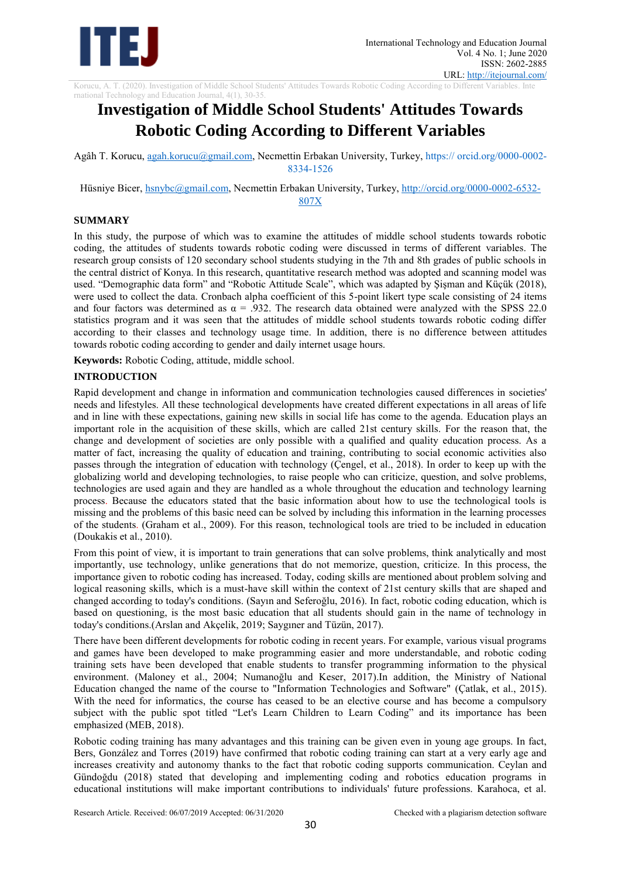

Korucu, A. T. (2020). Investigation of Middle School Students' Attitudes Towards Robotic Coding According to Different Variables. Inte

# rnational Technology and Education Journal, 4(1), 30-35. **Investigation of Middle School Students' Attitudes Towards Robotic Coding According to Different Variables**

Agâh T. Korucu, [agah.korucu@gmail.com,](mailto:agah.korucu@gmail.com) Necmettin Erbakan University, Turkey, https:// orcid.org/0000-0002- 8334-1526

Hüsniye Bicer, [hsnybc@gmail.com,](mailto:hsnybc@gmail.com) Necmettin Erbakan University, Turkey, [http://orcid.org/0000-0002-6532-](http://orcid.org/0000-0002-6532-807X) [807X](http://orcid.org/0000-0002-6532-807X)

#### **SUMMARY**

In this study, the purpose of which was to examine the attitudes of middle school students towards robotic coding, the attitudes of students towards robotic coding were discussed in terms of different variables. The research group consists of 120 secondary school students studying in the 7th and 8th grades of public schools in the central district of Konya. In this research, quantitative research method was adopted and scanning model was used. "Demographic data form" and "Robotic Attitude Scale", which was adapted by Şişman and Küçük (2018), were used to collect the data. Cronbach alpha coefficient of this 5-point likert type scale consisting of 24 items and four factors was determined as  $\alpha = .932$ . The research data obtained were analyzed with the SPSS 22.0 statistics program and it was seen that the attitudes of middle school students towards robotic coding differ according to their classes and technology usage time. In addition, there is no difference between attitudes towards robotic coding according to gender and daily internet usage hours.

**Keywords:** Robotic Coding, attitude, middle school.

#### **INTRODUCTION**

Rapid development and change in information and communication technologies caused differences in societies' needs and lifestyles. All these technological developments have created different expectations in all areas of life and in line with these expectations, gaining new skills in social life has come to the agenda. Education plays an important role in the acquisition of these skills, which are called 21st century skills. For the reason that, the change and development of societies are only possible with a qualified and quality education process. As a matter of fact, increasing the quality of education and training, contributing to social economic activities also passes through the integration of education with technology (Çengel, et al., 2018). In order to keep up with the globalizing world and developing technologies, to raise people who can criticize, question, and solve problems, technologies are used again and they are handled as a whole throughout the education and technology learning process. Because the educators stated that the basic information about how to use the technological tools is missing and the problems of this basic need can be solved by including this information in the learning processes of the students. (Graham et al., 2009). For this reason, technological tools are tried to be included in education (Doukakis et al., 2010).

From this point of view, it is important to train generations that can solve problems, think analytically and most importantly, use technology, unlike generations that do not memorize, question, criticize. In this process, the importance given to robotic coding has increased. Today, coding skills are mentioned about problem solving and logical reasoning skills, which is a must-have skill within the context of 21st century skills that are shaped and changed according to today's conditions. (Sayın and Seferoğlu, 2016). In fact, robotic coding education, which is based on questioning, is the most basic education that all students should gain in the name of technology in today's conditions.(Arslan and Akçelik, 2019; Saygıner and Tüzün, 2017).

There have been different developments for robotic coding in recent years. For example, various visual programs and games have been developed to make programming easier and more understandable, and robotic coding training sets have been developed that enable students to transfer programming information to the physical environment. (Maloney et al., 2004; Numanoğlu and Keser, 2017).In addition, the Ministry of National Education changed the name of the course to "Information Technologies and Software" (Çatlak, et al., 2015). With the need for informatics, the course has ceased to be an elective course and has become a compulsory subject with the public spot titled "Let's Learn Children to Learn Coding" and its importance has been emphasized (MEB, 2018).

Robotic coding training has many advantages and this training can be given even in young age groups. In fact, Bers, González and Torres (2019) have confirmed that robotic coding training can start at a very early age and increases creativity and autonomy thanks to the fact that robotic coding supports communication. Ceylan and Gündoğdu (2018) stated that developing and implementing coding and robotics education programs in educational institutions will make important contributions to individuals' future professions. Karahoca, et al.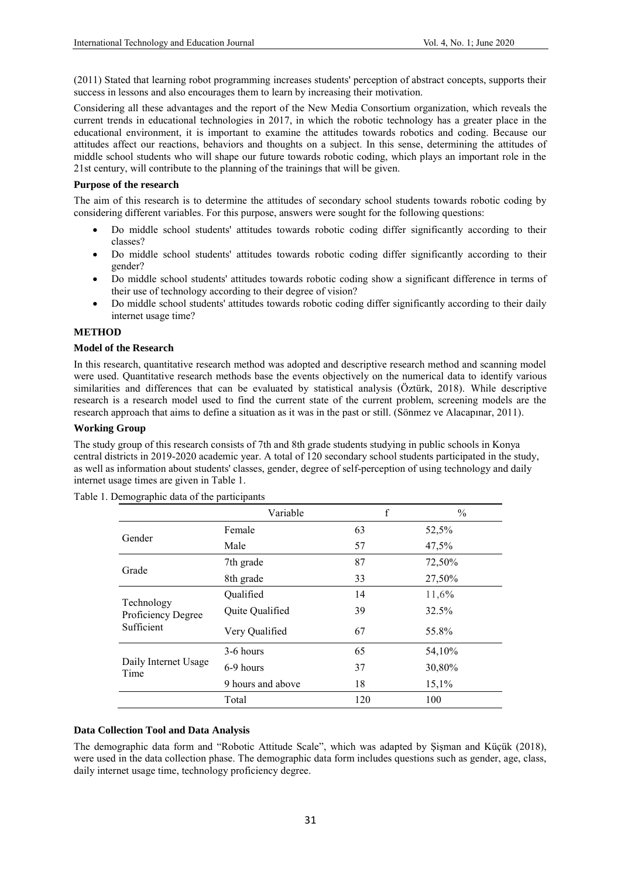(2011) Stated that learning robot programming increases students' perception of abstract concepts, supports their success in lessons and also encourages them to learn by increasing their motivation.

Considering all these advantages and the report of the New Media Consortium organization, which reveals the current trends in educational technologies in 2017, in which the robotic technology has a greater place in the educational environment, it is important to examine the attitudes towards robotics and coding. Because our attitudes affect our reactions, behaviors and thoughts on a subject. In this sense, determining the attitudes of middle school students who will shape our future towards robotic coding, which plays an important role in the 21st century, will contribute to the planning of the trainings that will be given.

#### **Purpose of the research**

The aim of this research is to determine the attitudes of secondary school students towards robotic coding by considering different variables. For this purpose, answers were sought for the following questions:

- Do middle school students' attitudes towards robotic coding differ significantly according to their classes?
- Do middle school students' attitudes towards robotic coding differ significantly according to their gender?
- Do middle school students' attitudes towards robotic coding show a significant difference in terms of their use of technology according to their degree of vision?
- Do middle school students' attitudes towards robotic coding differ significantly according to their daily internet usage time?

#### **METHOD**

### **Model of the Research**

In this research, quantitative research method was adopted and descriptive research method and scanning model were used. Quantitative research methods base the events objectively on the numerical data to identify various similarities and differences that can be evaluated by statistical analysis (Öztürk, 2018). While descriptive research is a research model used to find the current state of the current problem, screening models are the research approach that aims to define a situation as it was in the past or still. (Sönmez ve Alacapınar, 2011).

#### **Working Group**

The study group of this research consists of 7th and 8th grade students studying in public schools in Konya central districts in 2019-2020 academic year. A total of 120 secondary school students participated in the study, as well as information about students' classes, gender, degree of self-perception of using technology and daily internet usage times are given in Table 1.

|                                  | Variable          | f   | $\frac{0}{0}$ |
|----------------------------------|-------------------|-----|---------------|
| Gender                           | Female            | 63  | 52,5%         |
|                                  | Male              | 57  | 47,5%         |
| Grade                            | 7th grade         | 87  | 72,50%        |
|                                  | 8th grade         | 33  | 27,50%        |
|                                  | Qualified         | 14  | 11,6%         |
| Technology<br>Proficiency Degree | Quite Qualified   | 39  | 32.5%         |
| Sufficient                       | Very Qualified    | 67  | 55.8%         |
|                                  | 3-6 hours         | 65  | 54,10%        |
| Daily Internet Usage<br>Time     | 6-9 hours         | 37  | 30,80%        |
|                                  | 9 hours and above | 18  | 15,1%         |
|                                  | Total             | 120 | 100           |

Table 1. Demographic data of the participants

## **Data Collection Tool and Data Analysis**

The demographic data form and "Robotic Attitude Scale", which was adapted by Şişman and Küçük (2018), were used in the data collection phase. The demographic data form includes questions such as gender, age, class, daily internet usage time, technology proficiency degree.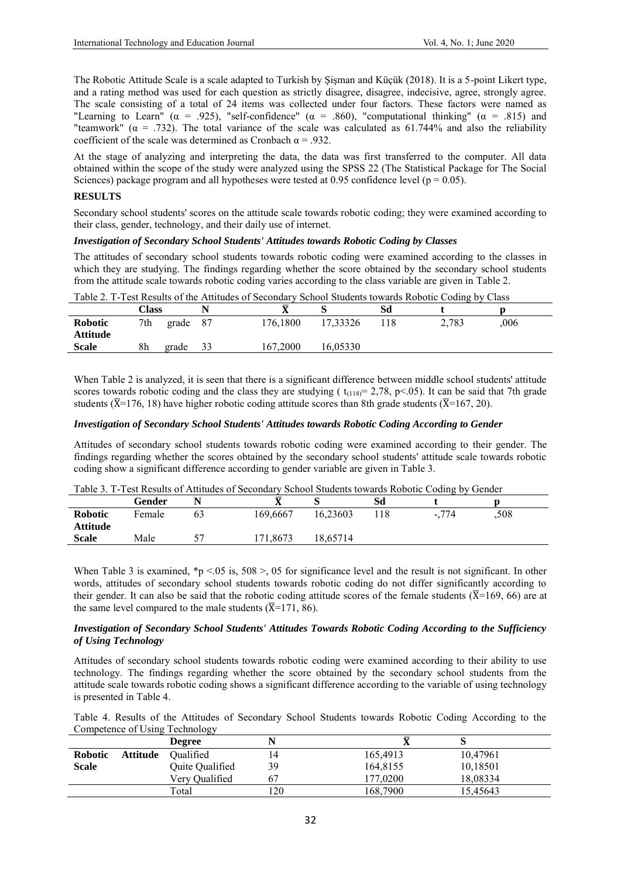The Robotic Attitude Scale is a scale adapted to Turkish by Şişman and Küçük (2018). It is a 5-point Likert type, and a rating method was used for each question as strictly disagree, disagree, indecisive, agree, strongly agree. The scale consisting of a total of 24 items was collected under four factors. These factors were named as "Learning to Learn" ( $\alpha$  = .925), "self-confidence" ( $\alpha$  = .860), "computational thinking" ( $\alpha$  = .815) and "teamwork" ( $\alpha$  = .732). The total variance of the scale was calculated as 61.744% and also the reliability coefficient of the scale was determined as Cronbach  $\alpha$  = .932.

At the stage of analyzing and interpreting the data, the data was first transferred to the computer. All data obtained within the scope of the study were analyzed using the SPSS 22 (The Statistical Package for The Social Sciences) package program and all hypotheses were tested at 0.95 confidence level ( $p = 0.05$ ).

#### **RESULTS**

Secondary school students' scores on the attitude scale towards robotic coding; they were examined according to their class, gender, technology, and their daily use of internet.

### *Investigation of Secondary School Students' Attitudes towards Robotic Coding by Classes*

The attitudes of secondary school students towards robotic coding were examined according to the classes in which they are studying. The findings regarding whether the score obtained by the secondary school students from the attitude scale towards robotic coding varies according to the class variable are given in Table 2.

|                 | Class |       |     | ᠊ᢦ       |          | Sd  |       |     |  |
|-----------------|-------|-------|-----|----------|----------|-----|-------|-----|--|
| Robotic         | 7th   | grade | -87 | 176,1800 | 17,33326 | 118 | 2,783 | 006 |  |
| <b>Attitude</b> |       |       |     |          |          |     |       |     |  |
| <b>Scale</b>    | 8h    | grade | 33  | 167.2000 | 16,05330 |     |       |     |  |
|                 |       |       |     |          |          |     |       |     |  |

Table 2. T-Test Results of the Attitudes of Secondary School Students towards Robotic Coding by Class

When Table 2 is analyzed, it is seen that there is a significant difference between middle school students' attitude scores towards robotic coding and the class they are studying ( $t_{(118)} = 2,78$ , p<05). It can be said that 7th grade students ( $\overline{X}$ =176, 18) have higher robotic coding attitude scores than 8th grade students ( $\overline{X}$ =167, 20).

#### *Investigation of Secondary School Students' Attitudes towards Robotic Coding According to Gender*

Attitudes of secondary school students towards robotic coding were examined according to their gender. The findings regarding whether the scores obtained by the secondary school students' attitude scale towards robotic coding show a significant difference according to gender variable are given in Table 3.

|  | Table 3. T-Test Results of Attitudes of Secondary School Students towards Robotic Coding by Gender |  |
|--|----------------------------------------------------------------------------------------------------|--|
|--|----------------------------------------------------------------------------------------------------|--|

| Gender |    | Δ        |          | Sd  |          |      |  |
|--------|----|----------|----------|-----|----------|------|--|
| Female | 63 | 169,6667 | 16,23603 | 118 | $-0.774$ | ,508 |  |
| Male   |    | 171.8673 | 8.65714  |     |          |      |  |
|        |    |          |          |     |          |      |  |

When Table 3 is examined, \*p <.05 is,  $508 > 05$  for significance level and the result is not significant. In other words, attitudes of secondary school students towards robotic coding do not differ significantly according to their gender. It can also be said that the robotic coding attitude scores of the female students ( $\overline{X}$ =169, 66) are at the same level compared to the male students ( $\overline{X}$ =171, 86).

#### *Investigation of Secondary School Students' Attitudes Towards Robotic Coding According to the Sufficiency of Using Technology*

Attitudes of secondary school students towards robotic coding were examined according to their ability to use technology. The findings regarding whether the score obtained by the secondary school students from the attitude scale towards robotic coding shows a significant difference according to the variable of using technology is presented in Table 4.

| Table 4. Results of the Attitudes of Secondary School Students towards Robotic Coding According to the |  |  |  |
|--------------------------------------------------------------------------------------------------------|--|--|--|
| Competence of Using Technology                                                                         |  |  |  |

|                |                 | <b>Degree</b>   |    |          |          |  |
|----------------|-----------------|-----------------|----|----------|----------|--|
| <b>Robotic</b> | <b>Attitude</b> | Qualified       | 14 | 165,4913 | 10,47961 |  |
| <b>Scale</b>   |                 | Quite Qualified | 39 | 164,8155 | 10,18501 |  |
|                |                 | Verv Oualified  | 67 | 177.0200 | 18,08334 |  |
|                |                 | Total           | 20 | 168,7900 | 15,45643 |  |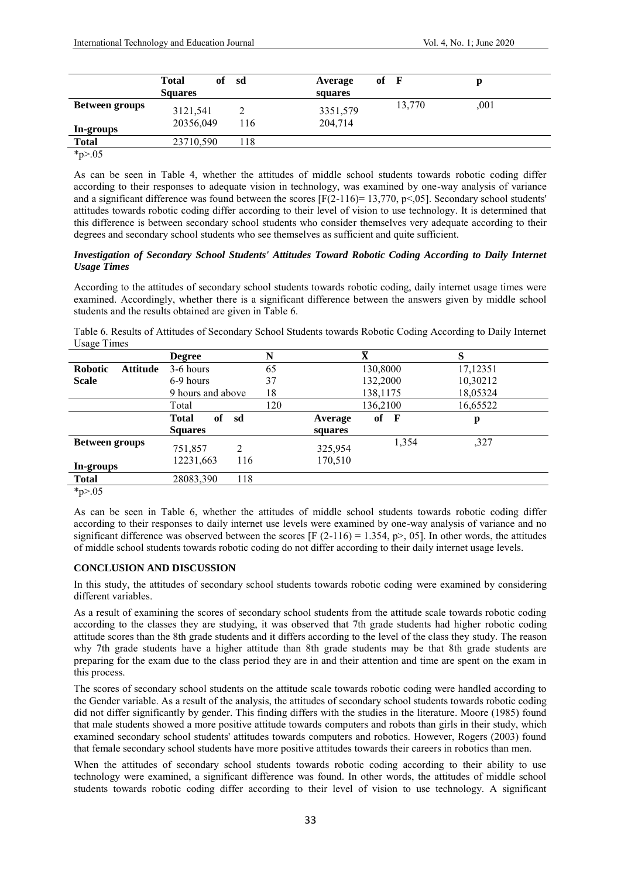|                                    | <b>Total</b><br><b>Squares</b> | of sd | Average<br>squares  | $of$ $\bf{F}$ |        | р    |
|------------------------------------|--------------------------------|-------|---------------------|---------------|--------|------|
| <b>Between groups</b><br>In-groups | 3121,541<br>20356,049          | 116   | 3351,579<br>204,714 |               | 13,770 | ,001 |
| <b>Total</b>                       | 23710,590                      | 118   |                     |               |        |      |
| $*_{p>0.05}$                       |                                |       |                     |               |        |      |

As can be seen in Table 4, whether the attitudes of middle school students towards robotic coding differ according to their responses to adequate vision in technology, was examined by one-way analysis of variance and a significant difference was found between the scores  $[F(2-116)=13,770, p<0.05]$ . Secondary school students' attitudes towards robotic coding differ according to their level of vision to use technology. It is determined that this difference is between secondary school students who consider themselves very adequate according to their degrees and secondary school students who see themselves as sufficient and quite sufficient.

### *Investigation of Secondary School Students' Attitudes Toward Robotic Coding According to Daily Internet Usage Times*

According to the attitudes of secondary school students towards robotic coding, daily internet usage times were examined. Accordingly, whether there is a significant difference between the answers given by middle school students and the results obtained are given in Table 6.

Table 6. Results of Attitudes of Secondary School Students towards Robotic Coding According to Daily Internet Usage Times

|                                   | <b>Degree</b>             | N   |         | $\bar{\textbf{X}}$ | S        |
|-----------------------------------|---------------------------|-----|---------|--------------------|----------|
| <b>Robotic</b><br><b>Attitude</b> | 3-6 hours                 | 65  |         | 130,8000           | 17,12351 |
| <b>Scale</b>                      | 6-9 hours                 | 37  |         | 132,2000           | 10,30212 |
|                                   | 9 hours and above         | 18  |         | 138,1175           | 18,05324 |
|                                   | Total                     | 120 |         | 136,2100           | 16,65522 |
|                                   | of<br><b>Total</b><br>sd  |     | Average | of<br>F            | p        |
|                                   | <b>Squares</b>            |     | squares |                    |          |
| <b>Between groups</b>             | $\overline{2}$<br>751,857 |     | 325,954 | 1,354              | ,327     |
| In-groups                         | 12231,663<br>116          |     | 170,510 |                    |          |
| <b>Total</b>                      | 118<br>28083,390          |     |         |                    |          |
| $*_{n>05}$                        |                           |     |         |                    |          |

\*p>.05

As can be seen in Table 6, whether the attitudes of middle school students towards robotic coding differ according to their responses to daily internet use levels were examined by one-way analysis of variance and no significant difference was observed between the scores [F  $(2-116) = 1.354$ , p>, 05]. In other words, the attitudes of middle school students towards robotic coding do not differ according to their daily internet usage levels.

#### **CONCLUSION AND DISCUSSION**

In this study, the attitudes of secondary school students towards robotic coding were examined by considering different variables.

As a result of examining the scores of secondary school students from the attitude scale towards robotic coding according to the classes they are studying, it was observed that 7th grade students had higher robotic coding attitude scores than the 8th grade students and it differs according to the level of the class they study. The reason why 7th grade students have a higher attitude than 8th grade students may be that 8th grade students are preparing for the exam due to the class period they are in and their attention and time are spent on the exam in this process.

The scores of secondary school students on the attitude scale towards robotic coding were handled according to the Gender variable. As a result of the analysis, the attitudes of secondary school students towards robotic coding did not differ significantly by gender. This finding differs with the studies in the literature. Moore (1985) found that male students showed a more positive attitude towards computers and robots than girls in their study, which examined secondary school students' attitudes towards computers and robotics. However, Rogers (2003) found that female secondary school students have more positive attitudes towards their careers in robotics than men.

When the attitudes of secondary school students towards robotic coding according to their ability to use technology were examined, a significant difference was found. In other words, the attitudes of middle school students towards robotic coding differ according to their level of vision to use technology. A significant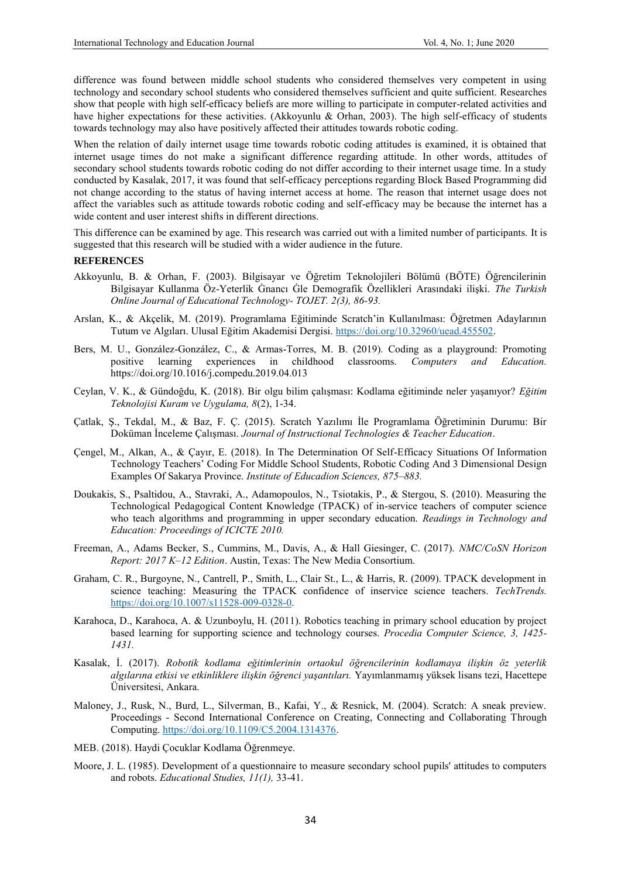difference was found between middle school students who considered themselves very competent in using technology and secondary school students who considered themselves sufficient and quite sufficient. Researches show that people with high self-efficacy beliefs are more willing to participate in computer-related activities and have higher expectations for these activities. (Akkoyunlu & Orhan, 2003). The high self-efficacy of students towards technology may also have positively affected their attitudes towards robotic coding.

When the relation of daily internet usage time towards robotic coding attitudes is examined, it is obtained that internet usage times do not make a significant difference regarding attitude. In other words, attitudes of secondary school students towards robotic coding do not differ according to their internet usage time. In a study conducted by Kasalak, 2017, it was found that self-efficacy perceptions regarding Block Based Programming did not change according to the status of having internet access at home. The reason that internet usage does not affect the variables such as attitude towards robotic coding and self-efficacy may be because the internet has a wide content and user interest shifts in different directions.

This difference can be examined by age. This research was carried out with a limited number of participants. It is suggested that this research will be studied with a wider audience in the future.

#### **REFERENCES**

- Akkoyunlu, B. & Orhan, F. (2003). Bilgisayar ve Öğretim Teknolojileri Bölümü (BÖTE) Öğrencilerinin Bilgisayar Kullanma Öz-Yeterlik Ġnancı Ġle Demografik Özellikleri Arasındaki ilişki. *The Turkish Online Journal of Educational Technology- TOJET. 2(3), 86-93.*
- Arslan, K., & Akçelik, M. (2019). Programlama Eğitiminde Scratch'in Kullanılması: Öğretmen Adaylarının Tutum ve Algıları. Ulusal Eğitim Akademisi Dergisi. [https://doi.org/10.32960/uead.455502.](https://doi.org/10.32960/uead.455502)
- Bers, M. U., González-González, C., & Armas-Torres, M. B. (2019). Coding as a playground: Promoting positive learning experiences in childhood classrooms. Computers and Education. positive learning experiences in childhood classrooms. *Computers and Education.* https://doi.org/10.1016/j.compedu.2019.04.013
- Ceylan, V. K., & Gündoğdu, K. (2018). Bir olgu bilim çalışması: Kodlama eğitiminde neler yaşanıyor? *Eğitim Teknolojisi Kuram ve Uygulama, 8*(2), 1-34.
- Çatlak, Ş., Tekdal, M., & Baz, F. Ç. (2015). Scratch Yazılımı İle Programlama Öğretiminin Durumu: Bir Doküman İnceleme Çalışması. *Journal of Instructional Technologies & Teacher Education*.
- Çengel, M., Alkan, A., & Çayır, E. (2018). In The Determination Of Self-Efficacy Situations Of Information Technology Teachers' Coding For Middle School Students, Robotic Coding And 3 Dimensional Design Examples Of Sakarya Province. *Institute of Educadion Sciences, 875–883.*
- Doukakis, S., Psaltidou, A., Stavraki, A., Adamopoulos, N., Tsiotakis, P., & Stergou, S. (2010). Measuring the Technological Pedagogical Content Knowledge (TPACK) of in-service teachers of computer science who teach algorithms and programming in upper secondary education. *Readings in Technology and Education: Proceedings of ICICTE 2010.*
- Freeman, A., Adams Becker, S., Cummins, M., Davis, A., & Hall Giesinger, C. (2017). *NMC/CoSN Horizon Report: 2017 K–12 Edition*. Austin, Texas: The New Media Consortium.
- Graham, C. R., Burgoyne, N., Cantrell, P., Smith, L., Clair St., L., & Harris, R. (2009). TPACK development in science teaching: Measuring the TPACK confidence of inservice science teachers. *TechTrends.*  [https://doi.org/10.1007/s11528-009-0328-0.](https://doi.org/10.1007/s11528-009-0328-0)
- Karahoca, D., Karahoca, A. & Uzunboylu, H. (2011). Robotics teaching in primary school education by project based learning for supporting science and technology courses. *Procedia Computer Science, 3, 1425- 1431.*
- Kasalak, İ. (2017). *Robotik kodlama eğitimlerinin ortaokul öğrencilerinin kodlamaya ilişkin öz yeterlik algılarına etkisi ve etkinliklere ilişkin öğrenci yaşantıları.* Yayımlanmamış yüksek lisans tezi, Hacettepe Üniversitesi, Ankara.
- Maloney, J., Rusk, N., Burd, L., Silverman, B., Kafai, Y., & Resnick, M. (2004). Scratch: A sneak preview. Proceedings - Second International Conference on Creating, Connecting and Collaborating Through Computing. [https://doi.org/10.1109/C5.2004.1314376.](https://doi.org/10.1109/C5.2004.1314376)
- MEB. (2018). Haydi Çocuklar Kodlama Öğrenmeye.
- Moore, J. L. (1985). Development of a questionnaire to measure secondary school pupils' attitudes to computers and robots. *Educational Studies, 11(1),* 33-41.